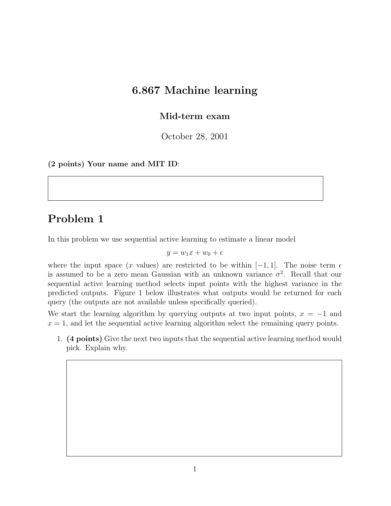#### 6.867 Machine learning

Mid-term exam

October 28, 2001

(2 points) Your name and MIT ID:

#### Problem 1

In this problem we use sequential active learning to estimate a linear model

 $y = w_1x + w_0 + \epsilon$ 

where the input space (x values) are restricted to be within  $[-1, 1]$ . The noise term  $\epsilon$ is assumed to be a zero mean Gaussian with an unknown variance  $\sigma^2$ . Recall that our sequential active learning method selects input points with the highest variance in the predicted outputs. Figure 1 below illustrates what outputs would be returned for each query (the outputs are not available unless specifically queried).

We start the learning algorithm by querying outputs at two input points,  $x = -1$  and  $x = 1$ , and let the sequential active learning algorithm select the remaining query points.

1. (4 points) Give the next two inputs that the sequential active learning method would pick. Explain why.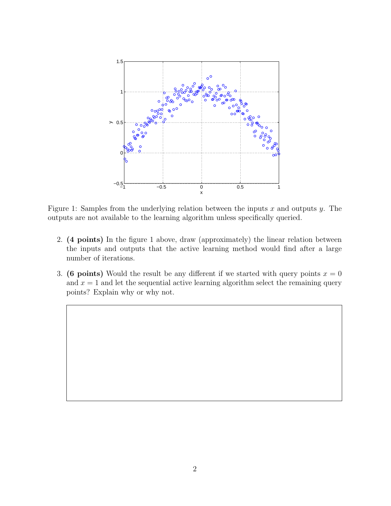

Figure 1: Samples from the underlying relation between the inputs x and outputs y. The outputs are not available to the learning algorithm unless specifically queried.

- 2. (4 points) In the figure 1 above, draw (approximately) the linear relation between the inputs and outputs that the active learning method would find after a large number of iterations.
- 3. (6 points) Would the result be any different if we started with query points  $x = 0$ and  $x = 1$  and let the sequential active learning algorithm select the remaining query points? Explain why or why not.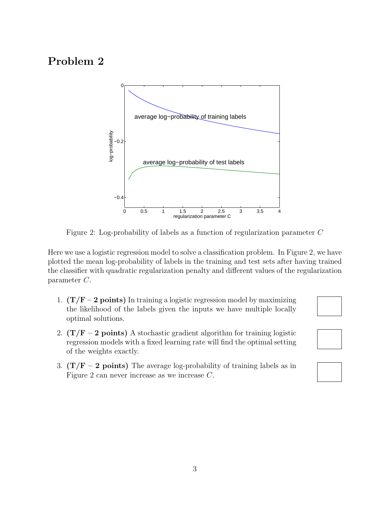# Problem 2



Figure 2: Log-probability of labels as a function of regularization parameter C

Here we use a logistic regression model to solve a classification problem. In Figure 2, we have plotted the mean log-probability of labels in the training and test sets after having trained the classifier with quadratic regularization penalty and different values of the regularization parameter C.

- 1.  $(T/F 2 points)$  In training a logistic regression model by maximizing the likelihood of the labels given the inputs we have multiple locally optimal solutions.
- 2.  $(T/F 2$  points) A stochastic gradient algorithm for training logistic regression models with a fixed learning rate will find the optimal setting of the weights exactly.
- 3.  $(T/F 2 points)$  The average log-probability of training labels as in Figure 2 can never increase as we increase C.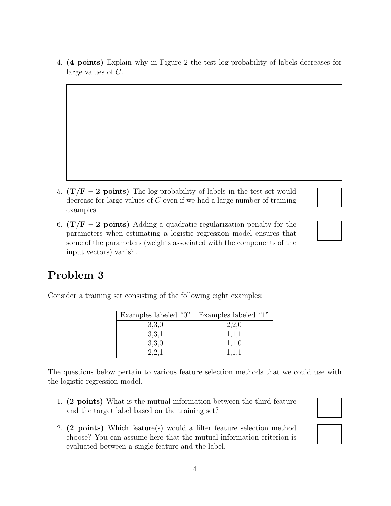4. (4 points) Explain why in Figure 2 the test log-probability of labels decreases for large values of C.

- 5.  $(T/F 2 points)$  The log-probability of labels in the test set would decrease for large values of C even if we had a large number of training examples.
- 6.  $(T/F 2 points)$  Adding a quadratic regularization penalty for the parameters when estimating a logistic regression model ensures that some of the parameters (weights associated with the components of the input vectors) vanish.

## Problem 3

Consider a training set consisting of the following eight examples:

| Examples labeled "0" | Examples labeled "1" |
|----------------------|----------------------|
| 3,3,0                | 2,2,0                |
| 3,3,1                | 1,1,1                |
| 3,3,0                | 1,1,0                |
| 2.2.1                | 1,1,1                |

The questions below pertain to various feature selection methods that we could use with the logistic regression model.

- 1. (2 points) What is the mutual information between the third feature and the target label based on the training set?
- 2. (2 points) Which feature(s) would a filter feature selection method choose? You can assume here that the mutual information criterion is evaluated between a single feature and the label.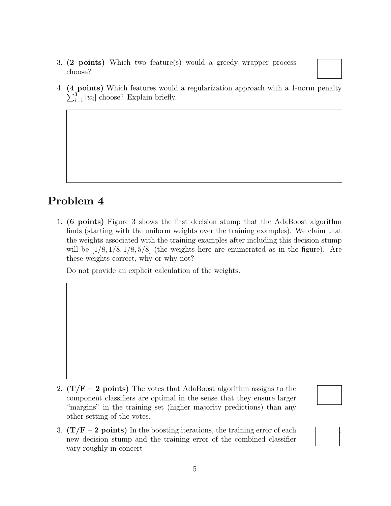- 3. (2 points) Which two feature(s) would a greedy wrapper process choose?
- 4. (4 points) Which features would a regularization approach with a 1-norm penalty  $\sum_{i=1}^{3} |w_i|$  choose? Explain briefly.

## Problem 4

1. (6 points) Figure 3 shows the first decision stump that the AdaBoost algorithm finds (starting with the uniform weights over the training examples). We claim that the weights associated with the training examples after including this decision stump will be  $[1/8, 1/8, 1/8, 5/8]$  (the weights here are enumerated as in the figure). Are these weights correct, why or why not?

Do not provide an explicit calculation of the weights.

- 2.  $(T/F 2$  points) The votes that AdaBoost algorithm assigns to the component classifiers are optimal in the sense that they ensure larger "margins" in the training set (higher majority predictions) than any other setting of the votes.
- 3.  $(T/F 2 points)$  In the boosting iterations, the training error of each new decision stump and the training error of the combined classifier vary roughly in concert

.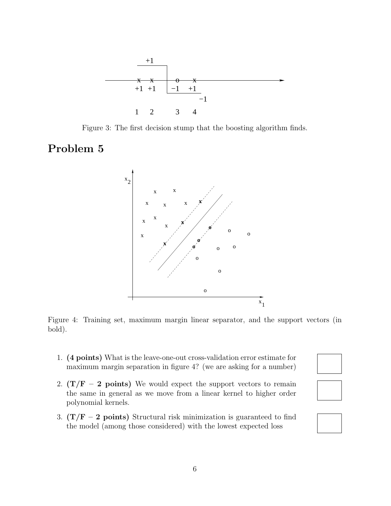

Figure 3: The first decision stump that the boosting algorithm finds.

## Problem 5



Figure 4: Training set, maximum margin linear separator, and the support vectors (in bold).

- 1. (4 points) What is the leave-one-out cross-validation error estimate for maximum margin separation in figure 4? (we are asking for a number)
- 2.  $(T/F 2 \text{ points})$  We would expect the support vectors to remain the same in general as we move from a linear kernel to higher order polynomial kernels.
- 3.  $(T/F 2 points)$  Structural risk minimization is guaranteed to find the model (among those considered) with the lowest expected loss

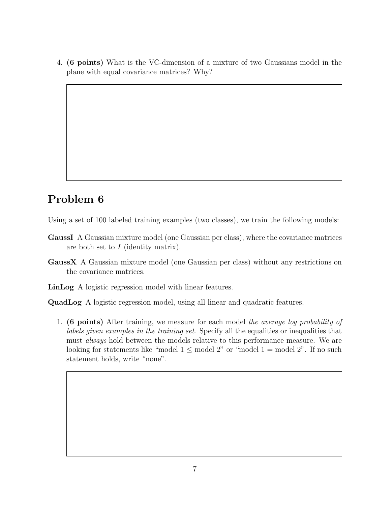4. (6 points) What is the VC-dimension of a mixture of two Gaussians model in the plane with equal covariance matrices? Why?

# Problem 6

Using a set of 100 labeled training examples (two classes), we train the following models:

- GaussI A Gaussian mixture model (one Gaussian per class), where the covariance matrices are both set to  $I$  (identity matrix).
- GaussX A Gaussian mixture model (one Gaussian per class) without any restrictions on the covariance matrices.
- LinLog A logistic regression model with linear features.

QuadLog A logistic regression model, using all linear and quadratic features.

1. (6 points) After training, we measure for each model the average log probability of labels given examples in the training set. Specify all the equalities or inequalities that must *always* hold between the models relative to this performance measure. We are looking for statements like "model  $1 \leq$  model  $2$ " or "model  $1 =$  model  $2$ ". If no such statement holds, write "none".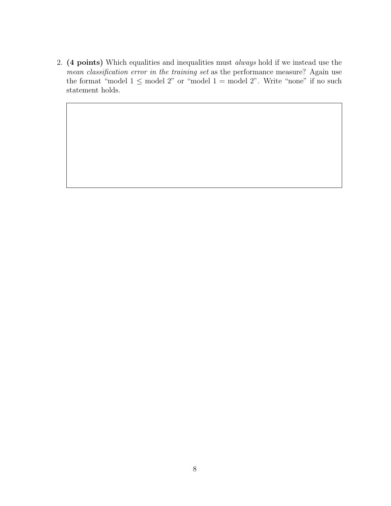2. (4 points) Which equalities and inequalities must always hold if we instead use the mean classification error in the training set as the performance measure? Again use the format "model  $1 \leq$  model  $2$ " or "model  $1 =$  model  $2$ ". Write "none" if no such statement holds.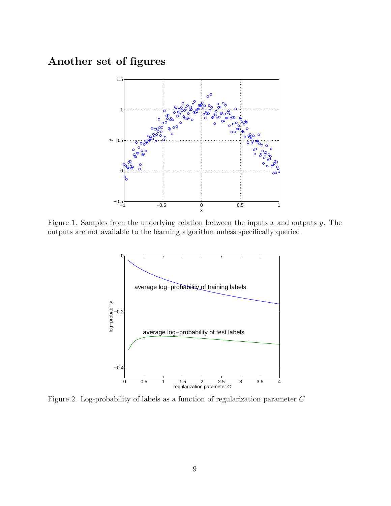# Another set of figures



Figure 1. Samples from the underlying relation between the inputs  $x$  and outputs  $y$ . The outputs are not available to the learning algorithm unless specifically queried



Figure 2. Log-probability of labels as a function of regularization parameter C